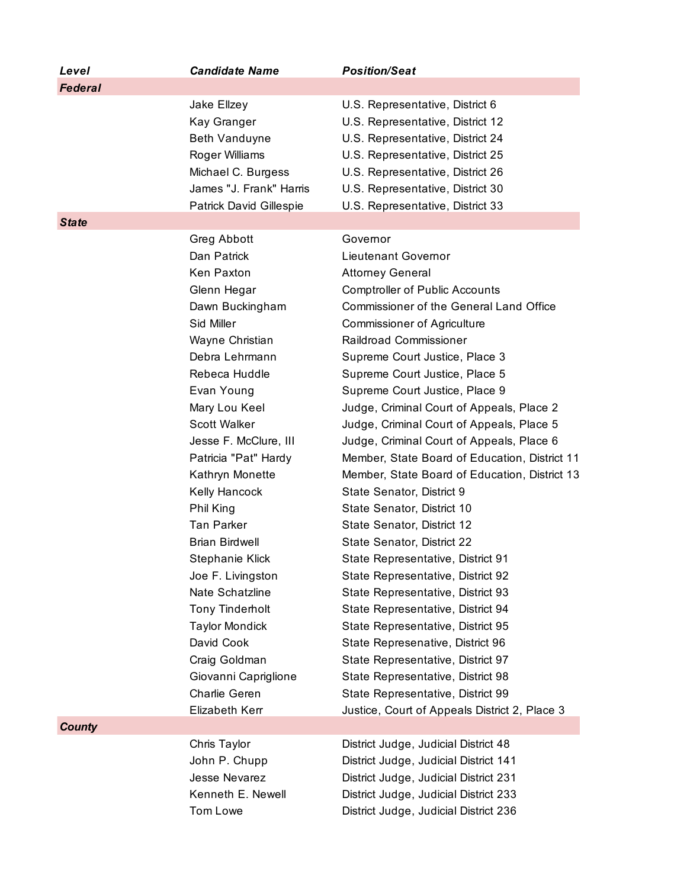| Level          | <b>Candidate Name</b>                                                                                                                                                                                                                                                                                                                                                                                                                                                                                                                                        | <b>Position/Seat</b>                                                                                                                                                                                                                                                                                                                                                                                                                                                                                                                                                                                                                                                                                                                                                                                                                                                                                                                                                                                                                    |
|----------------|--------------------------------------------------------------------------------------------------------------------------------------------------------------------------------------------------------------------------------------------------------------------------------------------------------------------------------------------------------------------------------------------------------------------------------------------------------------------------------------------------------------------------------------------------------------|-----------------------------------------------------------------------------------------------------------------------------------------------------------------------------------------------------------------------------------------------------------------------------------------------------------------------------------------------------------------------------------------------------------------------------------------------------------------------------------------------------------------------------------------------------------------------------------------------------------------------------------------------------------------------------------------------------------------------------------------------------------------------------------------------------------------------------------------------------------------------------------------------------------------------------------------------------------------------------------------------------------------------------------------|
| <b>Federal</b> |                                                                                                                                                                                                                                                                                                                                                                                                                                                                                                                                                              |                                                                                                                                                                                                                                                                                                                                                                                                                                                                                                                                                                                                                                                                                                                                                                                                                                                                                                                                                                                                                                         |
|                | Jake Ellzey<br>Kay Granger<br>Beth Vanduyne<br>Roger Williams<br>Michael C. Burgess<br>James "J. Frank" Harris<br>Patrick David Gillespie                                                                                                                                                                                                                                                                                                                                                                                                                    | U.S. Representative, District 6<br>U.S. Representative, District 12<br>U.S. Representative, District 24<br>U.S. Representative, District 25<br>U.S. Representative, District 26<br>U.S. Representative, District 30<br>U.S. Representative, District 33                                                                                                                                                                                                                                                                                                                                                                                                                                                                                                                                                                                                                                                                                                                                                                                 |
| <b>State</b>   |                                                                                                                                                                                                                                                                                                                                                                                                                                                                                                                                                              |                                                                                                                                                                                                                                                                                                                                                                                                                                                                                                                                                                                                                                                                                                                                                                                                                                                                                                                                                                                                                                         |
|                | Greg Abbott<br>Dan Patrick<br>Ken Paxton<br>Glenn Hegar<br>Dawn Buckingham<br>Sid Miller<br>Wayne Christian<br>Debra Lehrmann<br>Rebeca Huddle<br>Evan Young<br>Mary Lou Keel<br><b>Scott Walker</b><br>Jesse F. McClure, III<br>Patricia "Pat" Hardy<br>Kathryn Monette<br>Kelly Hancock<br>Phil King<br><b>Tan Parker</b><br><b>Brian Birdwell</b><br>Stephanie Klick<br>Joe F. Livingston<br>Nate Schatzline<br><b>Tony Tinderholt</b><br><b>Taylor Mondick</b><br>David Cook<br>Craig Goldman<br>Giovanni Capriglione<br>Charlie Geren<br>Elizabeth Kerr | Governor<br>Lieutenant Governor<br><b>Attorney General</b><br><b>Comptroller of Public Accounts</b><br><b>Commissioner of the General Land Office</b><br><b>Commissioner of Agriculture</b><br>Raildroad Commissioner<br>Supreme Court Justice, Place 3<br>Supreme Court Justice, Place 5<br>Supreme Court Justice, Place 9<br>Judge, Criminal Court of Appeals, Place 2<br>Judge, Criminal Court of Appeals, Place 5<br>Judge, Criminal Court of Appeals, Place 6<br>Member, State Board of Education, District 11<br>Member, State Board of Education, District 13<br>State Senator, District 9<br>State Senator, District 10<br>State Senator, District 12<br>State Senator, District 22<br>State Representative, District 91<br>State Representative, District 92<br>State Representative, District 93<br>State Representative, District 94<br>State Representative, District 95<br>State Represenative, District 96<br>State Representative, District 97<br>State Representative, District 98<br>State Representative, District 99 |
| <b>County</b>  |                                                                                                                                                                                                                                                                                                                                                                                                                                                                                                                                                              | Justice, Court of Appeals District 2, Place 3                                                                                                                                                                                                                                                                                                                                                                                                                                                                                                                                                                                                                                                                                                                                                                                                                                                                                                                                                                                           |
|                | Chris Taylor<br>John P. Chupp<br>Jesse Nevarez<br>Kenneth E. Newell<br>Tom Lowe                                                                                                                                                                                                                                                                                                                                                                                                                                                                              | District Judge, Judicial District 48<br>District Judge, Judicial District 141<br>District Judge, Judicial District 231<br>District Judge, Judicial District 233<br>District Judge, Judicial District 236                                                                                                                                                                                                                                                                                                                                                                                                                                                                                                                                                                                                                                                                                                                                                                                                                                |